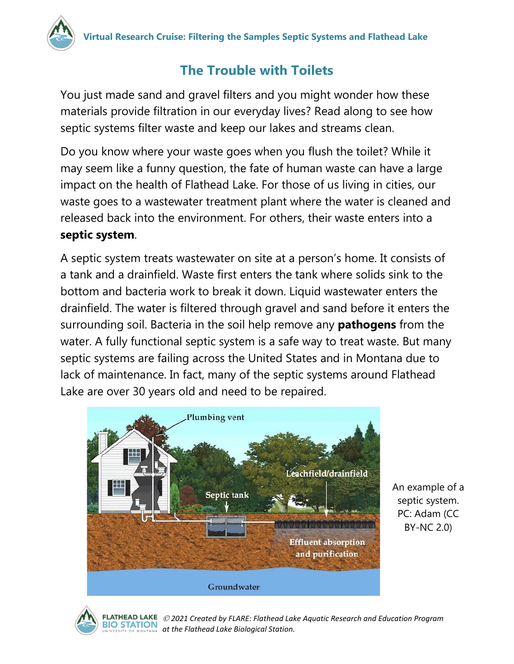

## **The Trouble with Toilets**

You just made sand and gravel filters and you might wonder how these materials provide filtration in our everyday lives? Read along to see how septic systems filter waste and keep our lakes and streams clean.

Do you know where your waste goes when you flush the toilet? While it may seem like a funny question, the fate of human waste can have a large impact on the health of Flathead Lake. For those of us living in cities, our waste goes to a wastewater treatment plant where the water is cleaned and released back into the environment. For others, their waste enters into a **septic system**.

A septic system treats wastewater on site at a person's home. It consists of a tank and a drainfield. Waste first enters the tank where solids sink to the bottom and bacteria work to break it down. Liquid wastewater enters the drainfield. The water is filtered through gravel and sand before it enters the surrounding soil. Bacteria in the soil help remove any **pathogens** from the water. A fully functional septic system is a safe way to treat waste. But many septic systems are failing across the United States and in Montana due to lack of maintenance. In fact, many of the septic systems around Flathead Lake are over 30 years old and need to be repaired.



An example of a septic system. PC: Adam (CC BY-NC 2.0)



 *2021 Created by FLARE: Flathead Lake Aquatic Research and Education Program*  **BIO STATION** at the Flathead Lake Biological Station.